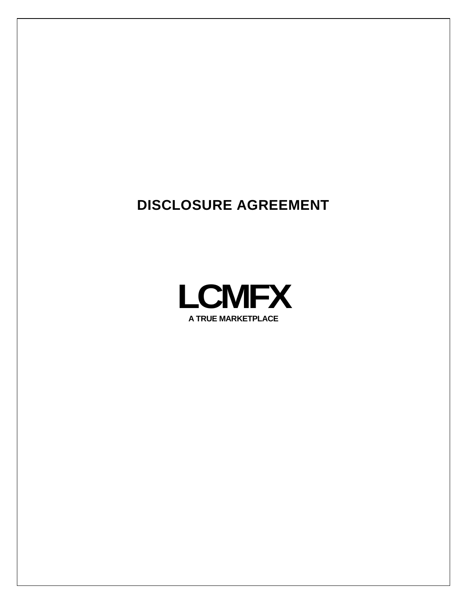# **DISCLOSURE AGREEMENT**

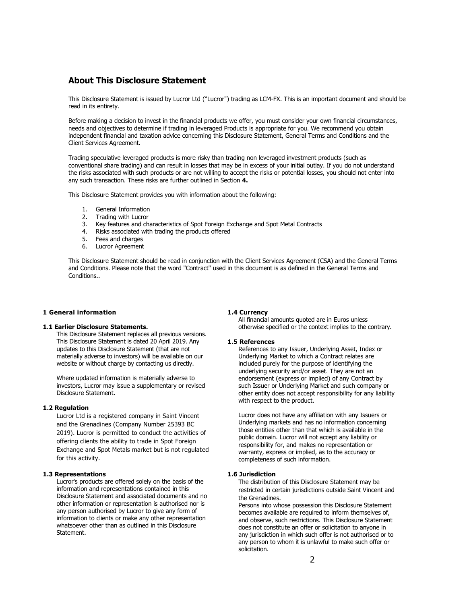# **About This Disclosure Statement**

This Disclosure Statement is issued by Lucror Ltd ("Lucror") trading as LCM-FX. This is an important document and should be read in its entirety.

Before making a decision to invest in the financial products we offer, you must consider your own financial circumstances, needs and objectives to determine if trading in leveraged Products is appropriate for you. We recommend you obtain independent financial and taxation advice concerning this Disclosure Statement, General Terms and Conditions and the Client Services Agreement.

Trading speculative leveraged products is more risky than trading non leveraged investment products (such as conventional share trading) and can result in losses that may be in excess of your initial outlay. If you do not understand the risks associated with such products or are not willing to accept the risks or potential losses, you should not enter into any such transaction. These risks are further outlined in Section **4.**

This Disclosure Statement provides you with information about the following:

- 1. General Information
- 2. Trading with Lucror
- 3. Key features and characteristics of Spot Foreign Exchange and Spot Metal Contracts
- 4. Risks associated with trading the products offered
- 5. Fees and charges
- 6. Lucror Agreement

This Disclosure Statement should be read in conjunction with the Client Services Agreement (CSA) and the General Terms and Conditions. Please note that the word "Contract" used in this document is as defined in the General Terms and Conditions..

# **1 General information**

### **1.1 Earlier Disclosure Statements.**

This Disclosure Statement replaces all previous versions. This Disclosure Statement is dated 20 April 2019. Any updates to this Disclosure Statement (that are not materially adverse to investors) will be available on our website or without charge by contacting us directly.

Where updated information is materially adverse to investors, Lucror may issue a supplementary or revised Disclosure Statement.

# **1.2 Regulation**

Lucror Ltd is a registered company in Saint Vincent and the Grenadines (Company Number 25393 BC 2019). Lucror is permitted to conduct the activities of offering clients the ability to trade in Spot Foreign Exchange and Spot Metals market but is not regulated for this activity.

# **1.3 Representations**

Lucror's products are offered solely on the basis of the information and representations contained in this Disclosure Statement and associated documents and no other information or representation is authorised nor is any person authorised by Lucror to give any form of information to clients or make any other representation whatsoever other than as outlined in this Disclosure Statement.

#### **1.4 Currency**

All financial amounts quoted are in Euros unless otherwise specified or the context implies to the contrary.

#### **1.5 References**

References to any Issuer, Underlying Asset, Index or Underlying Market to which a Contract relates are included purely for the purpose of identifying the underlying security and/or asset. They are not an endorsement (express or implied) of any Contract by such Issuer or Underlying Market and such company or other entity does not accept responsibility for any liability with respect to the product.

Lucror does not have any affiliation with any Issuers or Underlying markets and has no information concerning those entities other than that which is available in the public domain. Lucror will not accept any liability or responsibility for, and makes no representation or warranty, express or implied, as to the accuracy or completeness of such information.

# **1.6 Jurisdiction**

The distribution of this Disclosure Statement may be restricted in certain jurisdictions outside Saint Vincent and the Grenadines.

Persons into whose possession this Disclosure Statement becomes available are required to inform themselves of, and observe, such restrictions. This Disclosure Statement does not constitute an offer or solicitation to anyone in any jurisdiction in which such offer is not authorised or to any person to whom it is unlawful to make such offer or solicitation.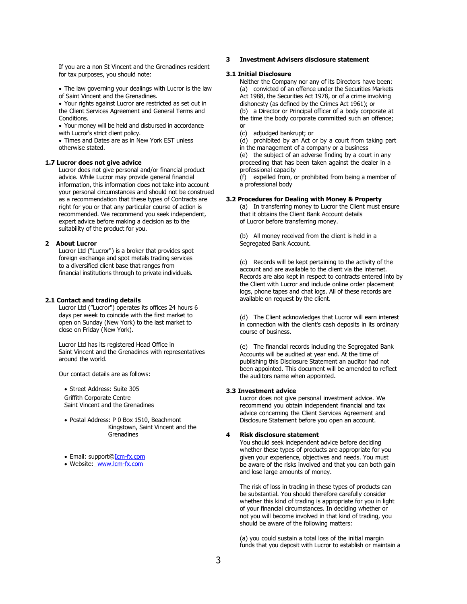If you are a non St Vincent and the Grenadines resident for tax purposes, you should note:

• The law governing your dealings with Lucror is the law of Saint Vincent and the Grenadines.

• Your rights against Lucror are restricted as set out in the Client Services Agreement and General Terms and Conditions.

• Your money will be held and disbursed in accordance with Lucror's strict client policy.

• Times and Dates are as in New York EST unless otherwise stated.

#### **1.7 Lucror does not give advice**

Lucror does not give personal and/or financial product advice. While Lucror may provide general financial information, this information does not take into account your personal circumstances and should not be construed as a recommendation that these types of Contracts are right for you or that any particular course of action is recommended. We recommend you seek independent, expert advice before making a decision as to the suitability of the product for you.

## **2 About Lucror**

Lucror Ltd ("Lucror") is a broker that provides spot foreign exchange and spot metals trading services to a diversified client base that ranges from financial institutions through to private individuals.

#### **2.1 Contact and trading details**

Lucror Ltd ("Lucror") operates its offices 24 hours 6 days per week to coincide with the first market to open on Sunday (New York) to the last market to close on Friday (New York).

Lucror Ltd has its registered Head Office in Saint Vincent and the Grenadines with representatives around the world.

Our contact details are as follows:

• Street Address: Suite 305 Griffith Corporate Centre Saint Vincent and the Grenadines

• Postal Address: P 0 Box 1510, Beachmont Kingstown, Saint Vincent and the **Grenadines** 

• Email: support[©Icm-fx.com](http://icm-fx.com/)

• Website: [www.lcm-fx.com](http://www.lcm-fx.com/)

# **3 Investment Advisers disclosure statement**

# **3.1 Initial Disclosure**

Neither the Company nor any of its Directors have been: (a) convicted of an offence under the Securities Markets Act 1988, the Securities Act 1978, or of a crime involving dishonesty (as defined by the Crimes Act 1961); or (b) a Director or Principal officer of a body corporate at

the time the body corporate committed such an offence; or

(c) adjudged bankrupt; or

(d) prohibited by an Act or by a court from taking part in the management of a company or a business

(e) the subject of an adverse finding by a court in any proceeding that has been taken against the dealer in a professional capacity

(f) expelled from, or prohibited from being a member of a professional body

# **3.2 Procedures for Dealing with Money & Property**

(a) In transferring money to Lucror the Client must ensure that it obtains the Client Bank Account details of Lucror before transferring money.

(b) All money received from the client is held in a Segregated Bank Account.

(c) Records will be kept pertaining to the activity of the account and are available to the client via the internet. Records are also kept in respect to contracts entered into by the Client with Lucror and include online order placement logs, phone tapes and chat logs. All of these records are available on request by the client.

(d) The Client acknowledges that Lucror will earn interest in connection with the client's cash deposits in its ordinary course of business.

(e) The financial records including the Segregated Bank Accounts will be audited at year end. At the time of publishing this Disclosure Statement an auditor had not been appointed. This document will be amended to reflect the auditors name when appointed.

# **3.3 Investment advice**

Lucror does not give personal investment advice. We recommend you obtain independent financial and tax advice concerning the Client Services Agreement and Disclosure Statement before you open an account.

#### **4 Risk disclosure statement**

You should seek independent advice before deciding whether these types of products are appropriate for you given your experience, objectives and needs. You must be aware of the risks involved and that you can both gain and lose large amounts of money.

The risk of loss in trading in these types of products can be substantial. You should therefore carefully consider whether this kind of trading is appropriate for you in light of your financial circumstances. In deciding whether or not you will become involved in that kind of trading, you should be aware of the following matters:

(a) you could sustain a total loss of the initial margin funds that you deposit with Lucror to establish or maintain a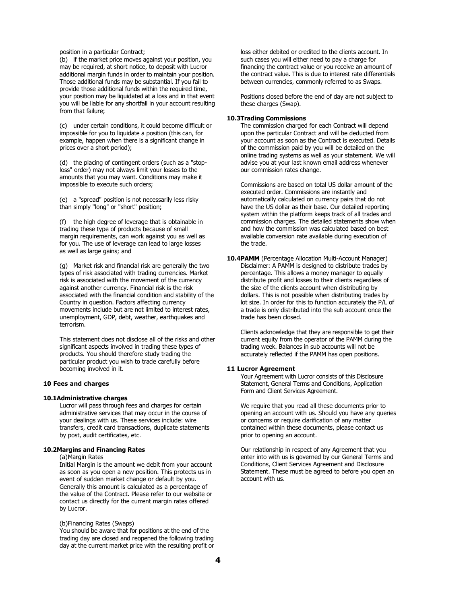position in a particular Contract;

(b) if the market price moves against your position, you may be required, at short notice, to deposit with Lucror additional margin funds in order to maintain your position. Those additional funds may be substantial. If you fail to provide those additional funds within the required time, your position may be liquidated at a loss and in that event you will be liable for any shortfall in your account resulting from that failure;

(c) under certain conditions, it could become difficult or impossible for you to liquidate a position (this can, for example, happen when there is a significant change in prices over a short period);

(d) the placing of contingent orders (such as a "stoploss" order) may not always limit your losses to the amounts that you may want. Conditions may make it impossible to execute such orders;

(e) a "spread" position is not necessarily less risky than simply "long" or "short" position;

(f) the high degree of leverage that is obtainable in trading these type of products because of small margin requirements, can work against you as well as for you. The use of leverage can lead to large losses as well as large gains; and

(g) Market risk and financial risk are generally the two types of risk associated with trading currencies. Market risk is associated with the movement of the currency against another currency. Financial risk is the risk associated with the financial condition and stability of the Country in question. Factors affecting currency movements include but are not limited to interest rates, unemployment, GDP, debt, weather, earthquakes and terrorism.

This statement does not disclose all of the risks and other significant aspects involved in trading these types of products. You should therefore study trading the particular product you wish to trade carefully before becoming involved in it.

#### **10 Fees and charges**

#### **10.1Administrative charges**

Lucror will pass through fees and charges for certain administrative services that may occur in the course of your dealings with us. These services include: wire transfers, credit card transactions, duplicate statements by post, audit certificates, etc.

# **10.2Margins and Financing Rates**

(a)Margin Rates

Initial Margin is the amount we debit from your account as soon as you open a new position. This protects us in event of sudden market change or default by you. Generally this amount is calculated as a percentage of the value of the Contract. Please refer to our website or contact us directly for the current margin rates offered by Lucror.

#### (b)Financing Rates (Swaps)

You should be aware that for positions at the end of the trading day are closed and reopened the following trading day at the current market price with the resulting profit or

loss either debited or credited to the clients account. In such cases you will either need to pay a charge for financing the contract value or you receive an amount of the contract value. This is due to interest rate differentials between currencies, commonly referred to as Swaps.

Positions closed before the end of day are not subject to these charges (Swap).

#### **10.3Trading Commissions**

The commission charged for each Contract will depend upon the particular Contract and will be deducted from your account as soon as the Contract is executed. Details of the commission paid by you will be detailed on the online trading systems as well as your statement. We will advise you at your last known email address whenever our commission rates change.

Commissions are based on total US dollar amount of the executed order. Commissions are instantly and automatically calculated on currency pairs that do not have the US dollar as their base. Our detailed reporting system within the platform keeps track of all trades and commission charges. The detailed statements show when and how the commission was calculated based on best available conversion rate available during execution of the trade.

**10.4PAMM** (Percentage Allocation Multi-Account Manager) Disclaimer: A PAMM is designed to distribute trades by percentage. This allows a money manager to equally distribute profit and losses to their clients regardless of the size of the clients account when distributing by dollars. This is not possible when distributing trades by lot size. In order for this to function accurately the P/L of a trade is only distributed into the sub account once the trade has been closed.

Clients acknowledge that they are responsible to get their current equity from the operator of the PAMM during the trading week. Balances in sub accounts will not be accurately reflected if the PAMM has open positions.

# **11 Lucror Agreement**

Your Agreement with Lucror consists of this Disclosure Statement, General Terms and Conditions, Application Form and Client Services Agreement.

We require that you read all these documents prior to opening an account with us. Should you have any queries or concerns or require clarification of any matter contained within these documents, please contact us prior to opening an account.

Our relationship in respect of any Agreement that you enter into with us is governed by our General Terms and Conditions, Client Services Agreement and Disclosure Statement. These must be agreed to before you open an account with us.